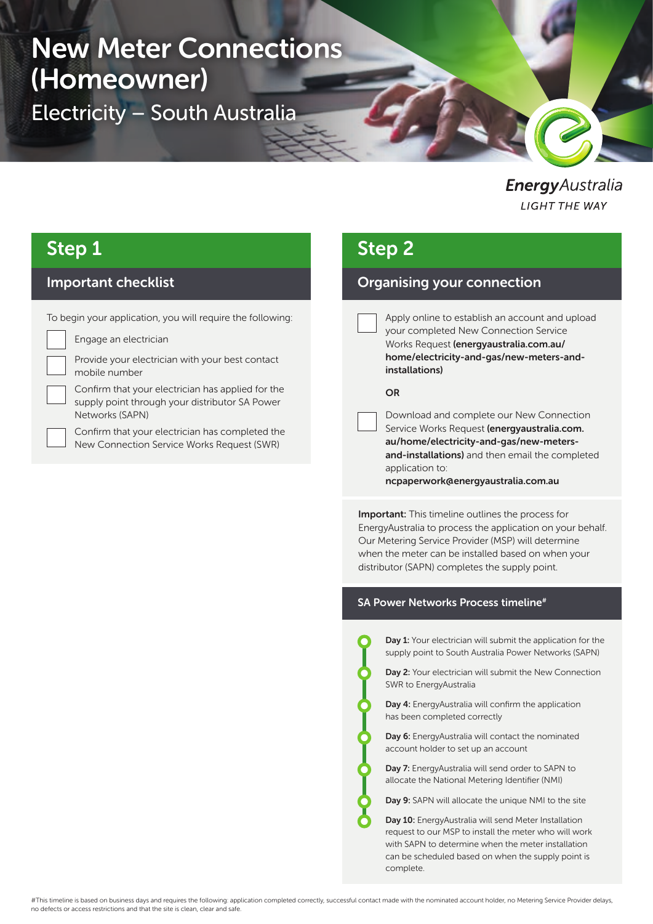# New Meter Connections (Homeowner)

Electricity – South Australia

EnergyAustralia **LIGHT THE WAY** 

### Step 1

### Important checklist

To begin your application, you will require the following:

Engage an electrician

Provide your electrician with your best contact mobile number

Confirm that your electrician has applied for the supply point through your distributor SA Power Networks (SAPN)

Confirm that your electrician has completed the New Connection Service Works Request (SWR)

# Step 2

### Organising your connection

Apply online to establish an account and upload your completed New Connection Service Works Request (energyaustralia.com.au/ home/electricity-and-gas/new-meters-andinstallations)

#### OR

Download and complete our New Connection Service Works Request (energyaustralia.com. au/home/electricity-and-gas/new-metersand-installations) and then email the completed application to: ncpaperwork@energyaustralia.com.au

**Important:** This timeline outlines the process for EnergyAustralia to process the application on your behalf. Our Metering Service Provider (MSP) will determine when the meter can be installed based on when your distributor (SAPN) completes the supply point.

#### SA Power Networks Process timeline<sup>#</sup>

Day 1: Your electrician will submit the application for the supply point to South Australia Power Networks (SAPN)

Day 2: Your electrician will submit the New Connection SWR to EnergyAustralia

Day 4: EnergyAustralia will confirm the application has been completed correctly

Day 6: EnergyAustralia will contact the nominated account holder to set up an account

Day 7: EnergyAustralia will send order to SAPN to allocate the National Metering Identifier (NMI)

Day 9: SAPN will allocate the unique NMI to the site

Day 10: EnergyAustralia will send Meter Installation request to our MSP to install the meter who will work with SAPN to determine when the meter installation can be scheduled based on when the supply point is complete.

#This timeline is based on business days and requires the following: application completed correctly, successful contact made with the nominated account holder, no Metering Service Provider delays, no defects or access restrictions and that the site is clean, clear and safe.